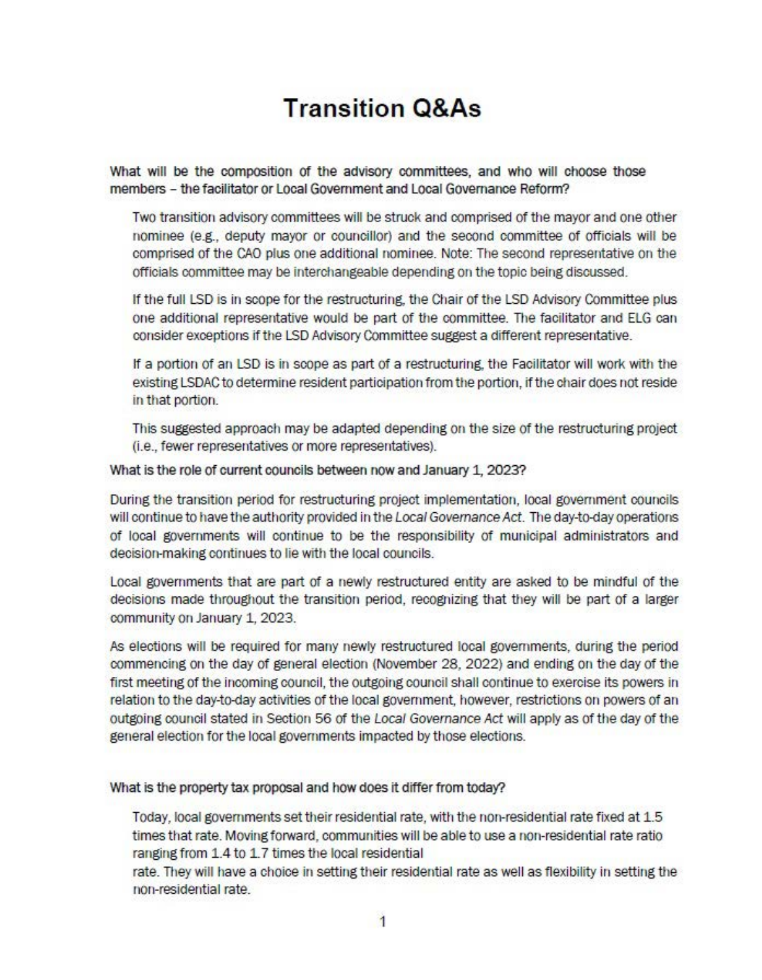# **Transition Q&As**

What will be the composition of the advisory committees, and who will choose those members - the facilitator or Local Government and Local Governance Reform?

Two transition advisory committees will be struck and comprised of the mayor and one other nominee (e.g., deputy mayor or councillor) and the second committee of officials will be comprised of the CAO plus one additional nominee. Note: The second representative on the officials committee may be interchangeable depending on the topic being discussed.

If the full LSD is in scope for the restructuring, the Chair of the LSD Advisory Committee plus one additional representative would be part of the committee. The facilitator and ELG can consider exceptions if the LSD Advisory Committee suggest a different representative.

If a portion of an LSD is in scope as part of a restructuring, the Facilitator will work with the existing LSDAC to determine resident participation from the p0rtion, if the chair does not reside in that p0rtion.

This suggested approach may be adapted depending on the size of the restructuring project (i.e., fewer representatives or more representatives).

What is the role of current councils between now and January 1, 2023?

During the transition period for restructuring project implementation, local government councils will continue to have the authority provided in the Local Governance Act. The day-to-day operations of local governments will continue to be the re5p0nsibility of municipal administrators and decision-making continues to lie with the local councils.

Local governments that are part Of a newly restructured entity are asked to be mindful of the decisions made throughout the transition period, recognizing that they will be part of a larger community on January 1, 2023.

As elections will be required for many newly restructured local governments, during the period commencing on the day of general election (November 28, 2022) and ending on the day of the first meeting of the incoming council, the outgoing council shall continue to exercise its powers in relation to the day-to-day activities of the local government, however, restrictions on powers of an outgoing council stated in Section 56 Of the Local Governance Act will apply as of the day of the general election for the local governments impacted by those elections.

What is the property tax proposal and how does it differ from today?

Today, IOcal governments set their residential rate, with the non-residential rate fixed at 1.5 times that rate. Moving forward, communities will be able to use a non-residential rate ratio ranging from 1.4 to 1.7 times the local residential

rate. They will have a choice in setting their residential rate as well as flexibility in setting the non-residential rate.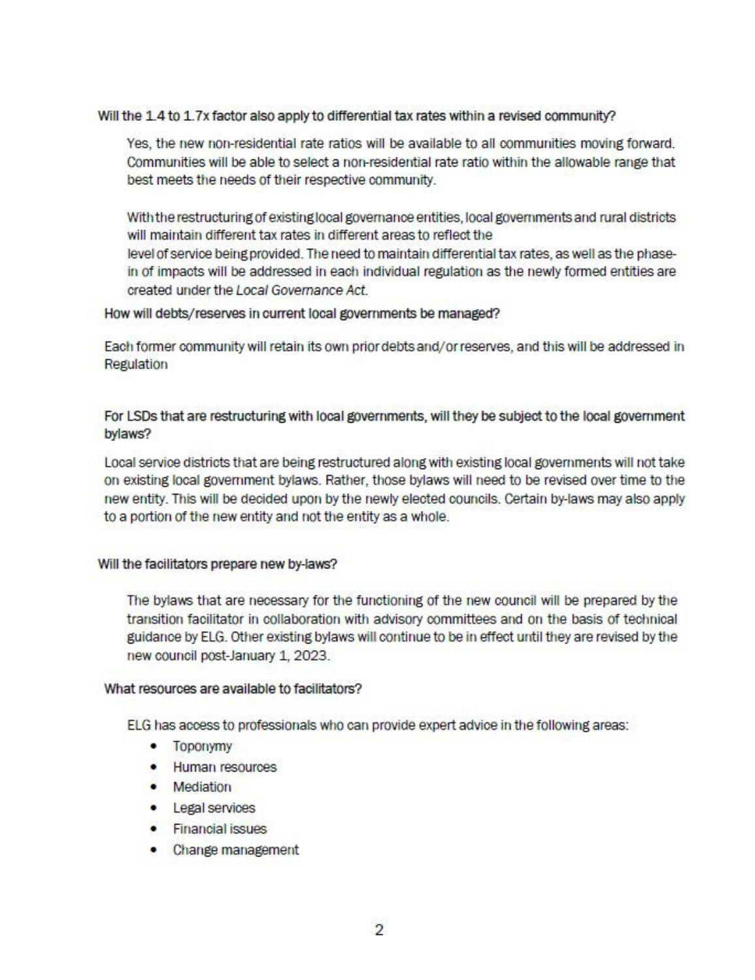## Will the 1.4 to 1.7x factor also apply to differential tax rates within a revised community?

Yes, the new non-residential rate ratios will be available to all communities moving forward. Communities will be able to select a non-residential rate ratio within the allowable range that best meets the needs of their respective community.

With the restructuring of existing local governance entities, local governments and rural districts will maintain different tax rates in different areas to reflect the level of service being provided. The need to maintain differential tax rates, as well as the phasein of impacts will be addressed in each individual regulation as the newly formed entities are created under the Local Governance Act.

### How will debts/reserves in current local governments be managed?

Each former community will retain its own prior debts and/or reserves, and this will be addressed in **Regulation** 

For LSDs that are restructuring with local governments, will they be subject to the local government bylaws?

Local service districts that are being restructured alOng with existing local governments will not take on existing IOcal government bylaws. Rather, those bylaws will need to be revised over time to the new entity. This will be decided up0n by the newly elected councils. Certain by-laws may also apply to a p0rtion of the new entity and not the entity as a whole.

### Will the facilitators prepare new by-laws?

The bylaws that are necessary for the functioning of the new council will be prepared by the transition facilitator in collabOration with advisory committees and on the basis of technical guidance by ELG. Other existing bylaws will continue to be in effect until they are revised by the new council post-January 1, 2023.

### What resources are available to facilitators?

ELG has access to professionals who can provide expert advice in the following areas:

- Top0nymy
- Human resources
- Mediation
- Legal services
- Financial issues
- Change management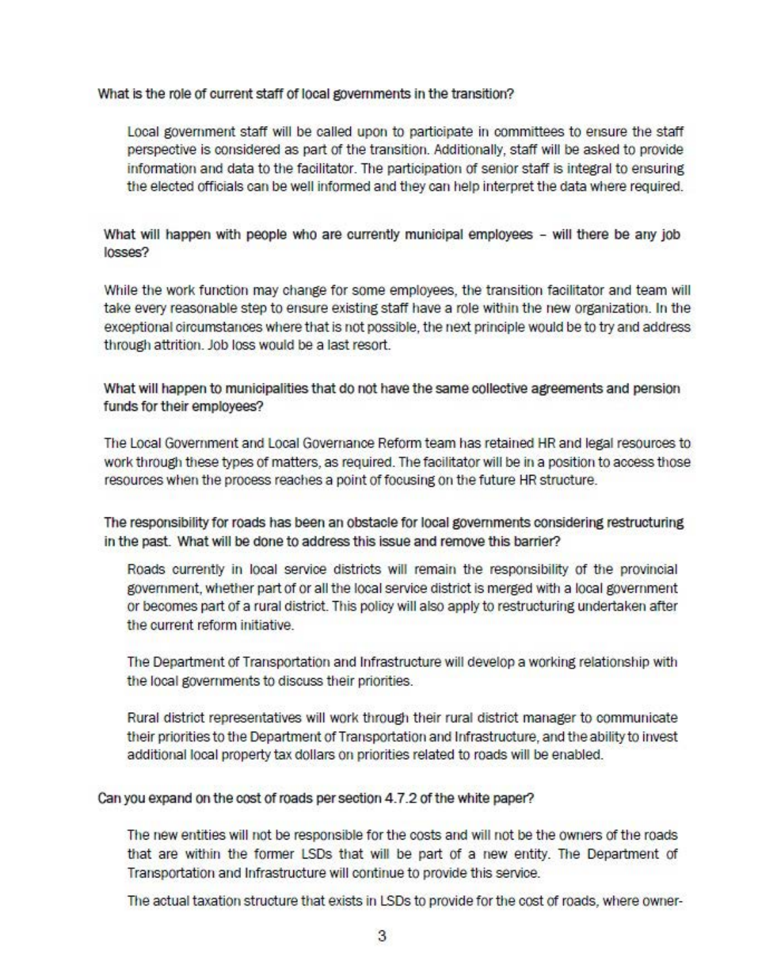What is the role of current staff of local governments in the transition?

Local government staff will be called upon to participate in committees to ensure the staff perspective is considered as part Of the transrtion. Additionally, staff will be asked to provide information and data to the facilitator. The participation of senior staff is integral to ensuring the elected officials can be well informed and they can help interpret the data where required.

What will happen with people who are currently municipal employees - will there be any job losses?

While the work function may change for some employees, the transition facilrtator and team will take every reasonable step to ensure existing staff have a role within the new organization. In the exceptional circumstances where that is not possible, the next principle would be to try and address through attrition. Job loss would be a last resort.

What will happen to municipalities that do not have the same collective agreements and pension funds for their employees?

The Local Government and Local Governance Reform team has retained HR and legal resources to work through these types of matters, as required. The facilitator will be in a position to access those resources when the process reaches a point of focusing on the future HR structure.

The responsibility for roads has been an obstacle for local governments considering restructuring in the past. What will be done to address this issue and remove this barrier?

Roads currently in local service districts will remain the responsibility of the provincial government, whether part of or all the local service district is merged with a local government or becomes part of a rural district. This policy will also apply to restructuring undertaken after the current reform initiative.

The Department Of Transp0rtation and Infrastructure will develop a working relationship wrth the local governments to discuss their priorities.

Rural district representatives will work through their rural district manager to communicate their priorities to the Department of Transportation and Infrastructure, and the ability to invest additional local property tax dollars on priorities related to roads will be enabled.

Can you expand on the cost Of roads per section 4.7.2 of the whrte paper?

The new entities will not be responsible for the costs and will not be the owners of the roads that are within the former LSDs that will be part of a new entity. The Department of Transportation and Infrastructure will continue to provide this service.

The actual taxation structure that exists in LSDs to provide for the cost of roads, where owner-